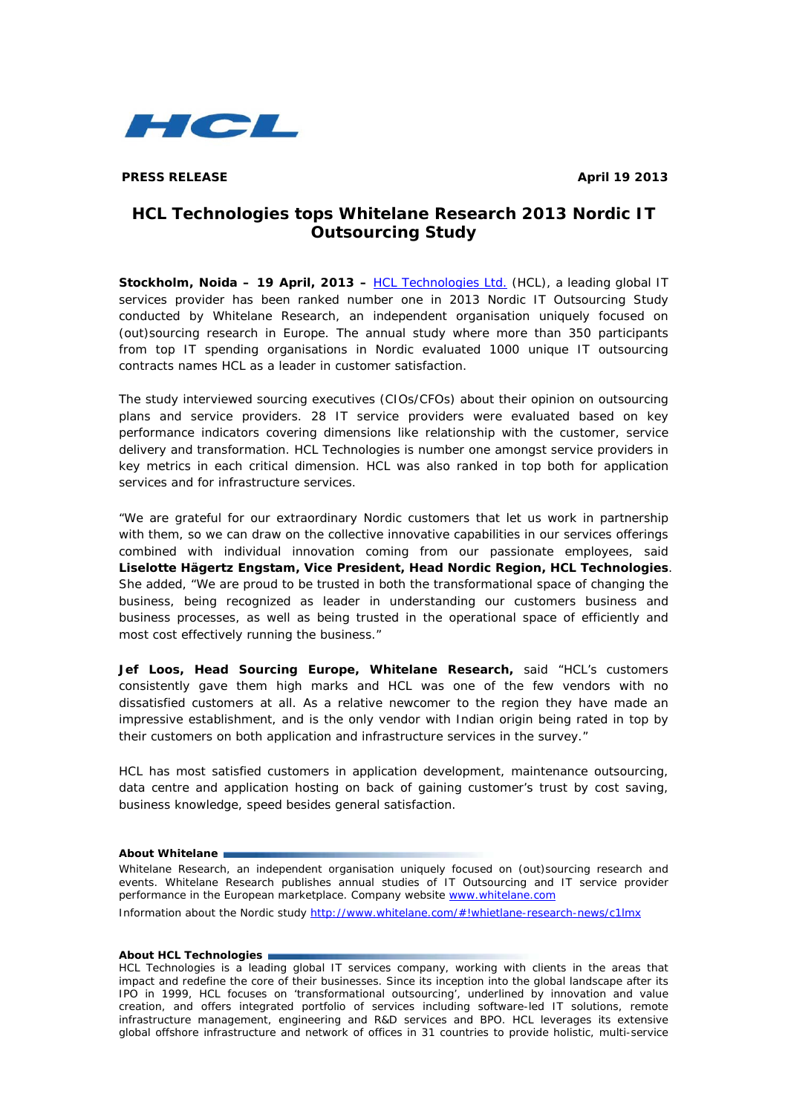

**PRESS RELEASE April 19 2013** 

# **HCL Technologies tops Whitelane Research 2013 Nordic IT Outsourcing Study**

**Stockholm, Noida – 19 April, 2013 –** [HCL Technologies Ltd.](http://www.hcltech.com/) (HCL), a leading global IT services provider has been ranked number one in 2013 Nordic IT Outsourcing Study conducted by Whitelane Research, an independent organisation uniquely focused on (out)sourcing research in Europe. The annual study where more than 350 participants from top IT spending organisations in Nordic evaluated 1000 unique IT outsourcing contracts names HCL as a leader in customer satisfaction.

The study interviewed sourcing executives (CIOs/CFOs) about their opinion on outsourcing plans and service providers. 28 IT service providers were evaluated based on key performance indicators covering dimensions like relationship with the customer, service delivery and transformation. HCL Technologies is number one amongst service providers in key metrics in each critical dimension. HCL was also ranked in top both for application services and for infrastructure services.

"We are grateful for our extraordinary Nordic customers that let us work in partnership with them, so we can draw on the collective innovative capabilities in our services offerings combined with individual innovation coming from our passionate employees, said **Liselotte Hägertz Engstam, Vice President, Head Nordic Region, HCL Technologies**. She added, "We are proud to be trusted in both the transformational space of changing the business, being recognized as leader in understanding our customers business and business processes, as well as being trusted in the operational space of efficiently and most cost effectively running the business."

**Jef Loos, Head Sourcing Europe, Whitelane Research,** said "HCL's customers consistently gave them high marks and HCL was one of the few vendors with no dissatisfied customers at all. As a relative newcomer to the region they have made an impressive establishment, and is the only vendor with Indian origin being rated in top by their customers on both application and infrastructure services in the survey."

HCL has most satisfied customers in application development, maintenance outsourcing, data centre and application hosting on back of gaining customer's trust by cost saving, business knowledge, speed besides general satisfaction.

### **About Whitelane**

Whitelane Research, an independent organisation uniquely focused on (out)sourcing research and events. Whitelane Research publishes annual studies of IT Outsourcing and IT service provider performance in the European marketplace. Company website [www.whitelane.com](http://www.whitelane.com/) Information about the Nordic study <http://www.whitelane.com/#!whietlane-research-news/c1lmx>

### **About HCL Technologies**

HCL Technologies is a leading global IT services company, working with clients in the areas that impact and redefine the core of their businesses. Since its inception into the global landscape after its IPO in 1999, HCL focuses on 'transformational outsourcing', underlined by innovation and value creation, and offers integrated portfolio of services including software-led IT solutions, remote infrastructure management, engineering and R&D services and BPO. HCL leverages its extensive global offshore infrastructure and network of offices in 31 countries to provide holistic, multi-service